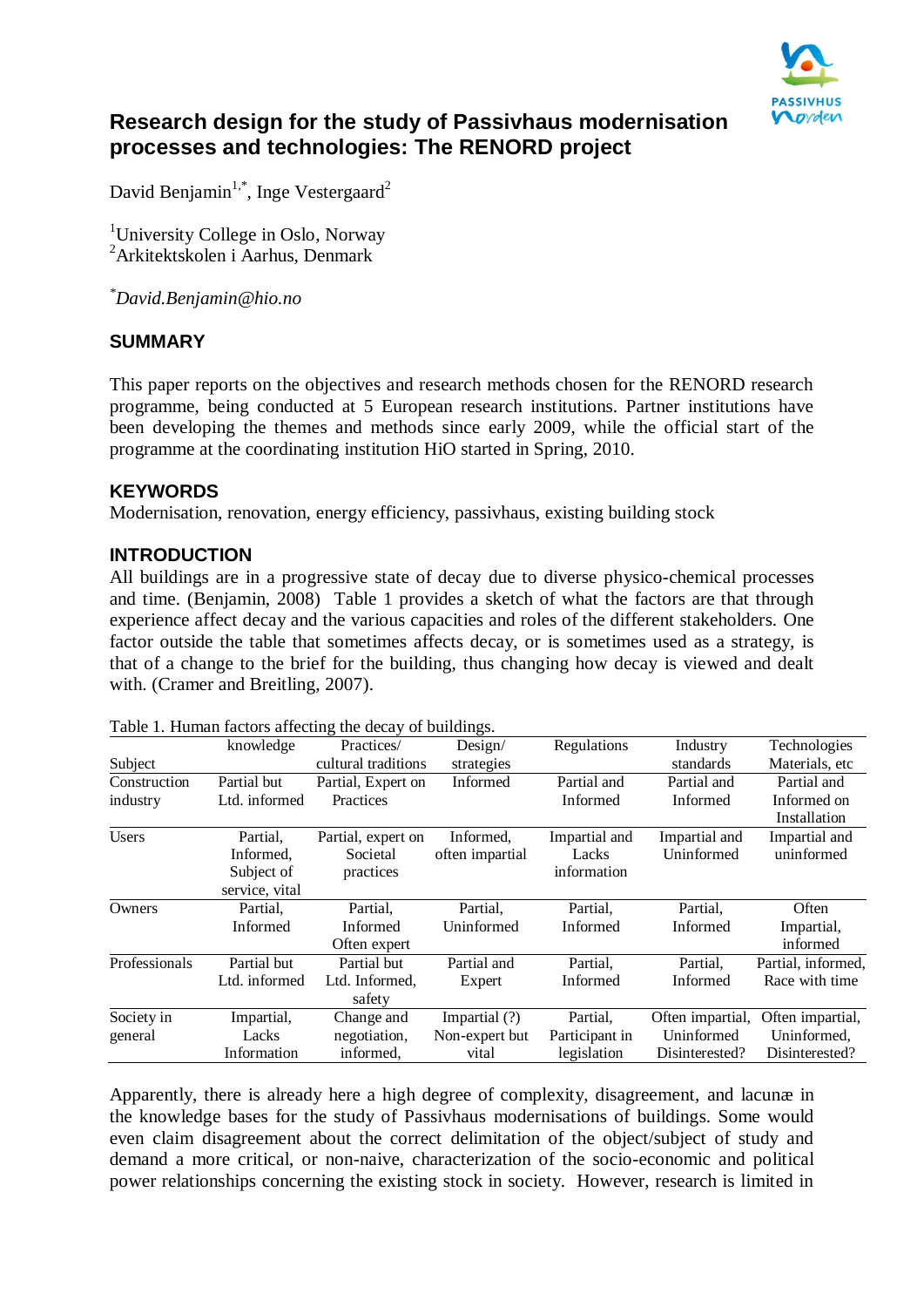

# **Research design for the study of Passivhaus modernisation processes and technologies: The RENORD project**

David Benjamin $^{1,*}$ , Inge Vestergaard $^2$ 

<sup>1</sup>University College in Oslo, Norway <sup>2</sup>Arkitektskolen i Aarhus, Denmark

*\*David.Benjamin@hio.no*

#### **SUMMARY**

This paper reports on the objectives and research methods chosen for the RENORD research programme, being conducted at 5 European research institutions. Partner institutions have been developing the themes and methods since early 2009, while the official start of the programme at the coordinating institution HiO started in Spring, 2010.

# **KEYWORDS**

Modernisation, renovation, energy efficiency, passivhaus, existing building stock

#### **INTRODUCTION**

All buildings are in a progressive state of decay due to diverse physico-chemical processes and time. (Benjamin, 2008) Table 1 provides a sketch of what the factors are that through experience affect decay and the various capacities and roles of the different stakeholders. One factor outside the table that sometimes affects decay, or is sometimes used as a strategy, is that of a change to the brief for the building, thus changing how decay is viewed and dealt with. (Cramer and Breitling, 2007).

|               | knowledge      | Practices/          | Design/         | Regulations    | Industry         | Technologies       |
|---------------|----------------|---------------------|-----------------|----------------|------------------|--------------------|
| Subject       |                | cultural traditions | strategies      |                | standards        | Materials, etc     |
| Construction  | Partial but    | Partial, Expert on  | Informed        | Partial and    | Partial and      | Partial and        |
| industry      | Ltd. informed  | Practices           |                 | Informed       | Informed         | Informed on        |
|               |                |                     |                 |                |                  | Installation       |
| <b>Users</b>  | Partial,       | Partial, expert on  | Informed,       | Impartial and  | Impartial and    | Impartial and      |
|               | Informed,      | Societal            | often impartial | Lacks          | Uninformed       | uninformed         |
|               | Subject of     | practices           |                 | information    |                  |                    |
|               | service, vital |                     |                 |                |                  |                    |
| Owners        | Partial,       | Partial,            | Partial,        | Partial,       | Partial,         | Often              |
|               | Informed       | Informed            | Uninformed      | Informed       | Informed         | Impartial,         |
|               |                | Often expert        |                 |                |                  | informed           |
| Professionals | Partial but    | Partial but         | Partial and     | Partial.       | Partial,         | Partial, informed, |
|               | Ltd. informed  | Ltd. Informed,      | Expert          | Informed       | Informed         | Race with time     |
|               |                | safety              |                 |                |                  |                    |
| Society in    | Impartial,     | Change and          | Impartial (?)   | Partial,       | Often impartial, | Often impartial,   |
| general       | Lacks          | negotiation,        | Non-expert but  | Participant in | Uninformed       | Uninformed,        |
|               | Information    | informed,           | vital           | legislation    | Disinterested?   | Disinterested?     |
|               |                |                     |                 |                |                  |                    |

Table 1. Human factors affecting the decay of buildings.

Apparently, there is already here a high degree of complexity, disagreement, and lacunæ in the knowledge bases for the study of Passivhaus modernisations of buildings. Some would even claim disagreement about the correct delimitation of the object/subject of study and demand a more critical, or non-naive, characterization of the socio-economic and political power relationships concerning the existing stock in society. However, research is limited in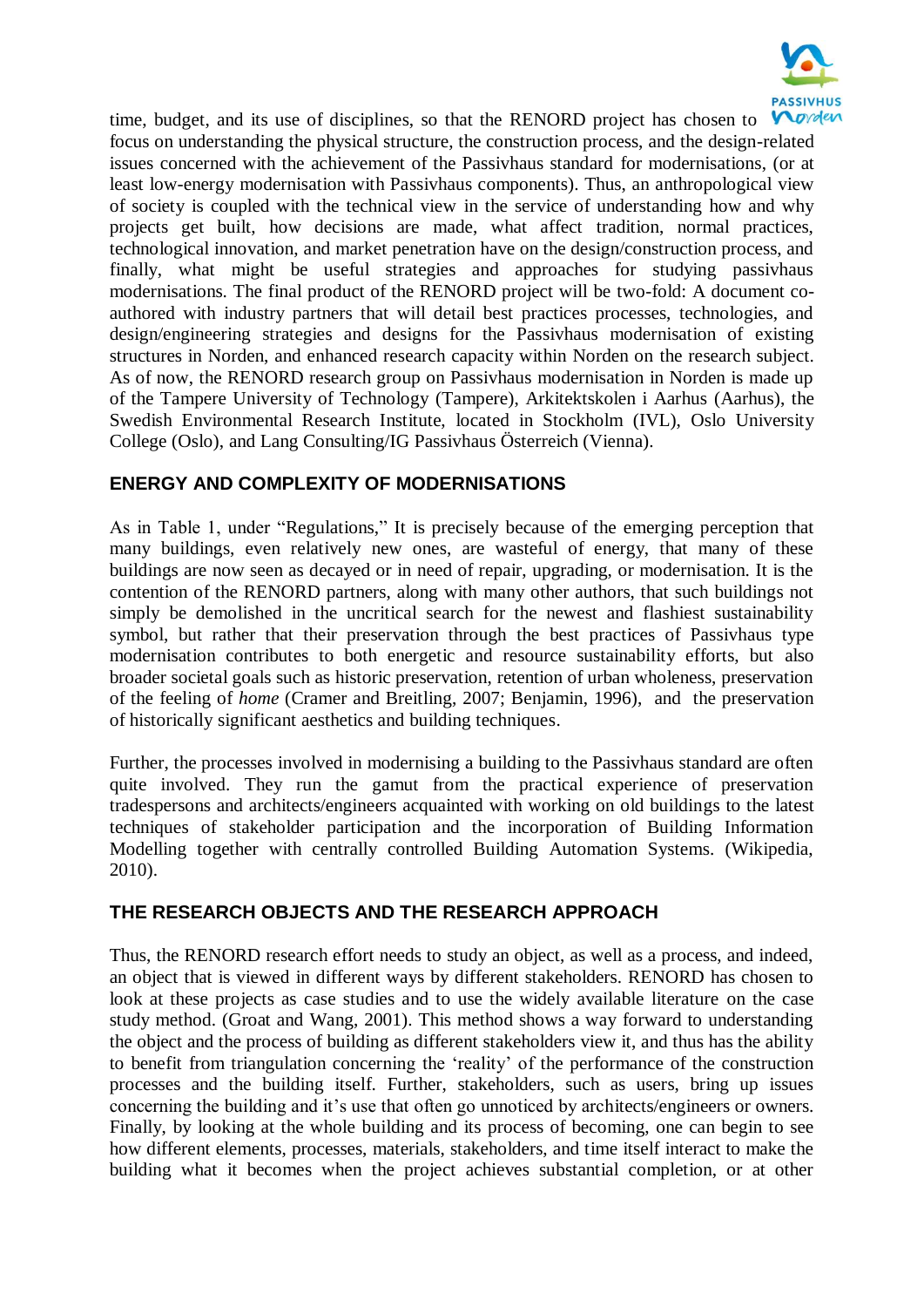

time, budget, and its use of disciplines, so that the RENORD project has chosen to focus on understanding the physical structure, the construction process, and the design-related issues concerned with the achievement of the Passivhaus standard for modernisations, (or at least low-energy modernisation with Passivhaus components). Thus, an anthropological view of society is coupled with the technical view in the service of understanding how and why projects get built, how decisions are made, what affect tradition, normal practices, technological innovation, and market penetration have on the design/construction process, and finally, what might be useful strategies and approaches for studying passivhaus modernisations. The final product of the RENORD project will be two-fold: A document coauthored with industry partners that will detail best practices processes, technologies, and design/engineering strategies and designs for the Passivhaus modernisation of existing structures in Norden, and enhanced research capacity within Norden on the research subject. As of now, the RENORD research group on Passivhaus modernisation in Norden is made up of the Tampere University of Technology (Tampere), Arkitektskolen i Aarhus (Aarhus), the Swedish Environmental Research Institute, located in Stockholm (IVL), Oslo University College (Oslo), and Lang Consulting/IG Passivhaus Österreich (Vienna).

# **ENERGY AND COMPLEXITY OF MODERNISATIONS**

As in Table 1, under "Regulations," It is precisely because of the emerging perception that many buildings, even relatively new ones, are wasteful of energy, that many of these buildings are now seen as decayed or in need of repair, upgrading, or modernisation. It is the contention of the RENORD partners, along with many other authors, that such buildings not simply be demolished in the uncritical search for the newest and flashiest sustainability symbol, but rather that their preservation through the best practices of Passivhaus type modernisation contributes to both energetic and resource sustainability efforts, but also broader societal goals such as historic preservation, retention of urban wholeness, preservation of the feeling of *home* (Cramer and Breitling, 2007; Benjamin, 1996),and the preservation of historically significant aesthetics and building techniques.

Further, the processes involved in modernising a building to the Passivhaus standard are often quite involved. They run the gamut from the practical experience of preservation tradespersons and architects/engineers acquainted with working on old buildings to the latest techniques of stakeholder participation and the incorporation of Building Information Modelling together with centrally controlled Building Automation Systems. (Wikipedia, 2010).

#### **THE RESEARCH OBJECTS AND THE RESEARCH APPROACH**

Thus, the RENORD research effort needs to study an object, as well as a process, and indeed, an object that is viewed in different ways by different stakeholders. RENORD has chosen to look at these projects as case studies and to use the widely available literature on the case study method. (Groat and Wang, 2001). This method shows a way forward to understanding the object and the process of building as different stakeholders view it, and thus has the ability to benefit from triangulation concerning the "reality" of the performance of the construction processes and the building itself. Further, stakeholders, such as users, bring up issues concerning the building and it"s use that often go unnoticed by architects/engineers or owners. Finally, by looking at the whole building and its process of becoming, one can begin to see how different elements, processes, materials, stakeholders, and time itself interact to make the building what it becomes when the project achieves substantial completion, or at other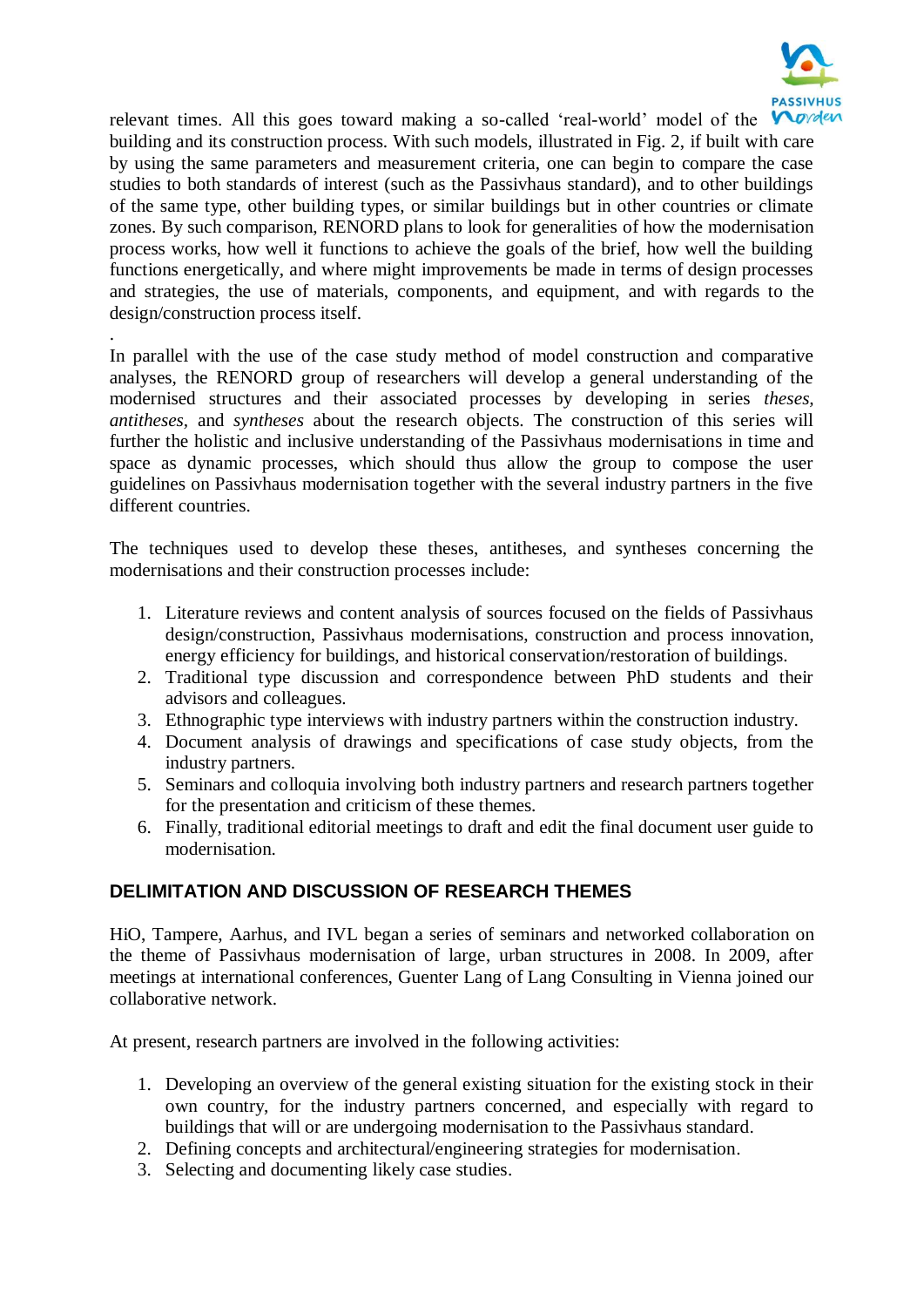

relevant times. All this goes toward making a so-called 'real-world' model of the  $\blacktriangledown$ building and its construction process. With such models, illustrated in Fig. 2, if built with care by using the same parameters and measurement criteria, one can begin to compare the case studies to both standards of interest (such as the Passivhaus standard), and to other buildings of the same type, other building types, or similar buildings but in other countries or climate zones. By such comparison, RENORD plans to look for generalities of how the modernisation process works, how well it functions to achieve the goals of the brief, how well the building functions energetically, and where might improvements be made in terms of design processes and strategies, the use of materials, components, and equipment, and with regards to the design/construction process itself.

In parallel with the use of the case study method of model construction and comparative analyses, the RENORD group of researchers will develop a general understanding of the modernised structures and their associated processes by developing in series *theses, antitheses,* and *syntheses* about the research objects. The construction of this series will further the holistic and inclusive understanding of the Passivhaus modernisations in time and space as dynamic processes, which should thus allow the group to compose the user guidelines on Passivhaus modernisation together with the several industry partners in the five different countries.

.

The techniques used to develop these theses, antitheses, and syntheses concerning the modernisations and their construction processes include:

- 1. Literature reviews and content analysis of sources focused on the fields of Passivhaus design/construction, Passivhaus modernisations, construction and process innovation, energy efficiency for buildings, and historical conservation/restoration of buildings.
- 2. Traditional type discussion and correspondence between PhD students and their advisors and colleagues.
- 3. Ethnographic type interviews with industry partners within the construction industry.
- 4. Document analysis of drawings and specifications of case study objects, from the industry partners.
- 5. Seminars and colloquia involving both industry partners and research partners together for the presentation and criticism of these themes.
- 6. Finally, traditional editorial meetings to draft and edit the final document user guide to modernisation.

# **DELIMITATION AND DISCUSSION OF RESEARCH THEMES**

HiO, Tampere, Aarhus, and IVL began a series of seminars and networked collaboration on the theme of Passivhaus modernisation of large, urban structures in 2008. In 2009, after meetings at international conferences, Guenter Lang of Lang Consulting in Vienna joined our collaborative network.

At present, research partners are involved in the following activities:

- 1. Developing an overview of the general existing situation for the existing stock in their own country, for the industry partners concerned, and especially with regard to buildings that will or are undergoing modernisation to the Passivhaus standard.
- 2. Defining concepts and architectural/engineering strategies for modernisation.
- 3. Selecting and documenting likely case studies.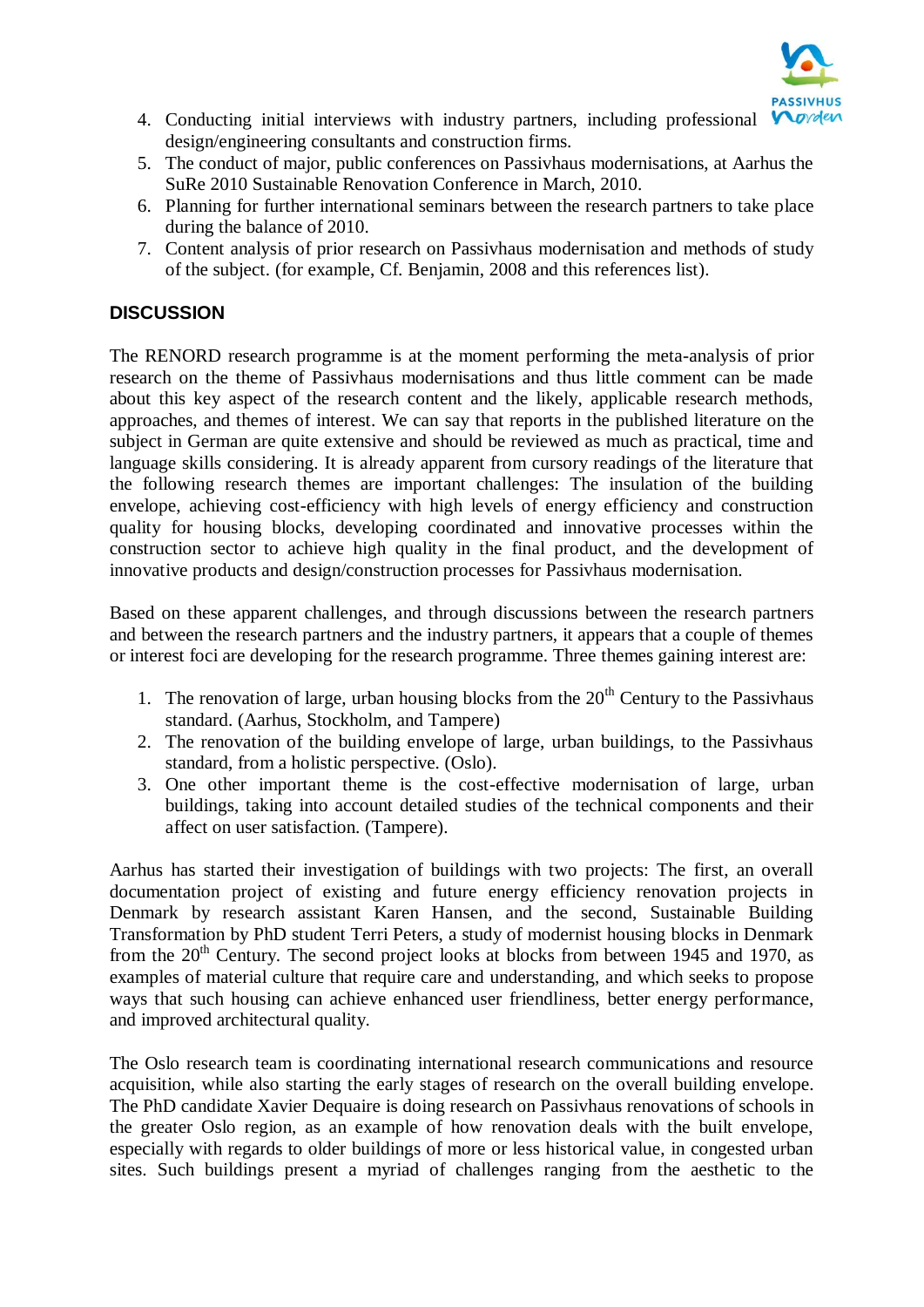

- 4. Conducting initial interviews with industry partners, including professional V design/engineering consultants and construction firms.
- 5. The conduct of major, public conferences on Passivhaus modernisations, at Aarhus the SuRe 2010 Sustainable Renovation Conference in March, 2010.
- 6. Planning for further international seminars between the research partners to take place during the balance of 2010.
- 7. Content analysis of prior research on Passivhaus modernisation and methods of study of the subject. (for example, Cf. Benjamin, 2008 and this references list).

# **DISCUSSION**

The RENORD research programme is at the moment performing the meta-analysis of prior research on the theme of Passivhaus modernisations and thus little comment can be made about this key aspect of the research content and the likely, applicable research methods, approaches, and themes of interest. We can say that reports in the published literature on the subject in German are quite extensive and should be reviewed as much as practical, time and language skills considering. It is already apparent from cursory readings of the literature that the following research themes are important challenges: The insulation of the building envelope, achieving cost-efficiency with high levels of energy efficiency and construction quality for housing blocks, developing coordinated and innovative processes within the construction sector to achieve high quality in the final product, and the development of innovative products and design/construction processes for Passivhaus modernisation.

Based on these apparent challenges, and through discussions between the research partners and between the research partners and the industry partners, it appears that a couple of themes or interest foci are developing for the research programme. Three themes gaining interest are:

- 1. The renovation of large, urban housing blocks from the  $20<sup>th</sup>$  Century to the Passivhaus standard. (Aarhus, Stockholm, and Tampere)
- 2. The renovation of the building envelope of large, urban buildings, to the Passivhaus standard, from a holistic perspective. (Oslo).
- 3. One other important theme is the cost-effective modernisation of large, urban buildings, taking into account detailed studies of the technical components and their affect on user satisfaction. (Tampere).

Aarhus has started their investigation of buildings with two projects: The first, an overall documentation project of existing and future energy efficiency renovation projects in Denmark by research assistant Karen Hansen, and the second, Sustainable Building Transformation by PhD student Terri Peters, a study of modernist housing blocks in Denmark from the  $20<sup>th</sup>$  Century. The second project looks at blocks from between 1945 and 1970, as examples of material culture that require care and understanding, and which seeks to propose ways that such housing can achieve enhanced user friendliness, better energy performance, and improved architectural quality.

The Oslo research team is coordinating international research communications and resource acquisition, while also starting the early stages of research on the overall building envelope. The PhD candidate Xavier Dequaire is doing research on Passivhaus renovations of schools in the greater Oslo region, as an example of how renovation deals with the built envelope, especially with regards to older buildings of more or less historical value, in congested urban sites. Such buildings present a myriad of challenges ranging from the aesthetic to the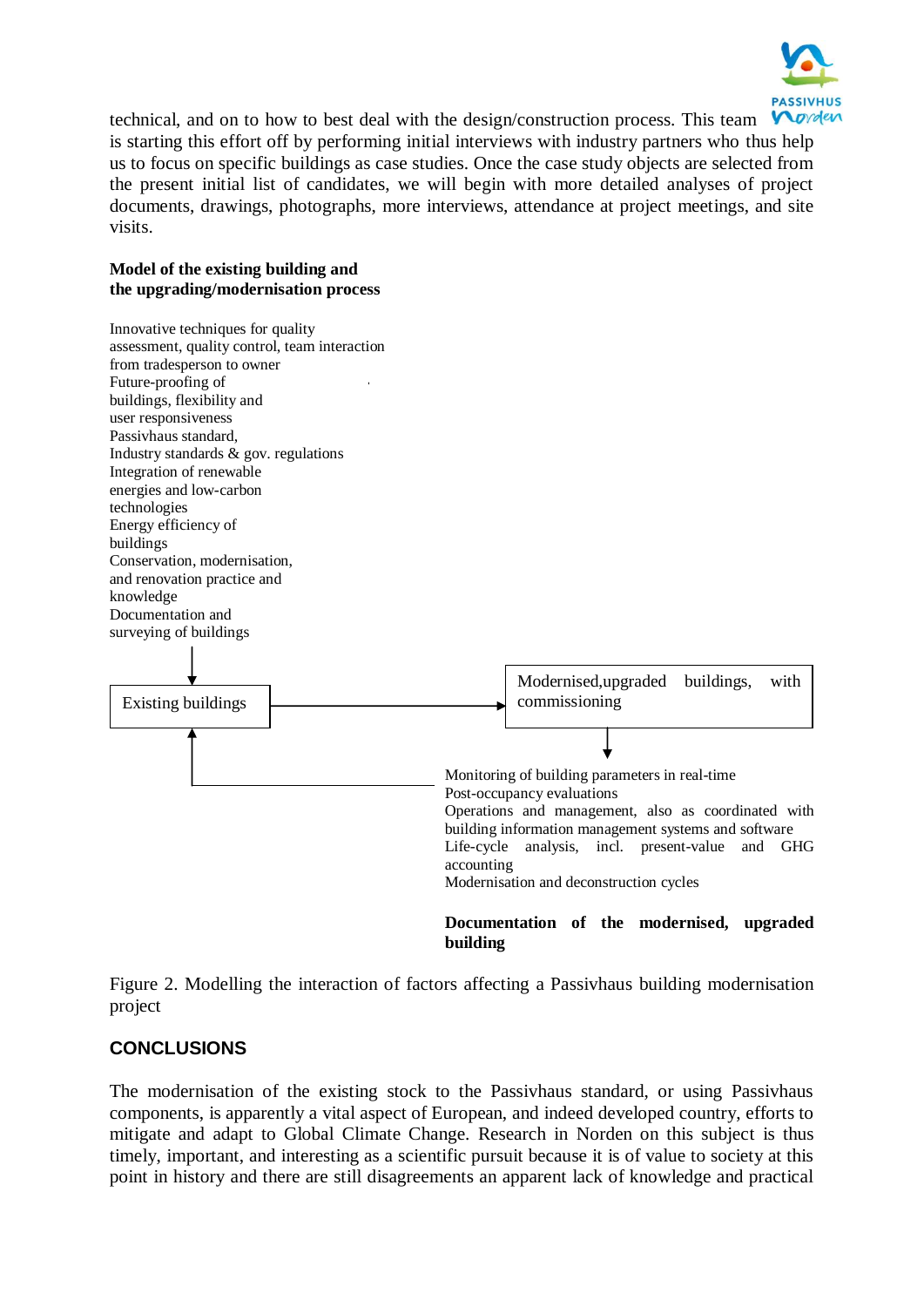

technical, and on to how to best deal with the design/construction process. This team is starting this effort off by performing initial interviews with industry partners who thus help us to focus on specific buildings as case studies. Once the case study objects are selected from the present initial list of candidates, we will begin with more detailed analyses of project documents, drawings, photographs, more interviews, attendance at project meetings, and site visits.

#### **Model of the existing building and the upgrading/modernisation process**



Figure 2. Modelling the interaction of factors affecting a Passivhaus building modernisation project

# **CONCLUSIONS**

The modernisation of the existing stock to the Passivhaus standard, or using Passivhaus components, is apparently a vital aspect of European, and indeed developed country, efforts to mitigate and adapt to Global Climate Change. Research in Norden on this subject is thus timely, important, and interesting as a scientific pursuit because it is of value to society at this point in history and there are still disagreements an apparent lack of knowledge and practical